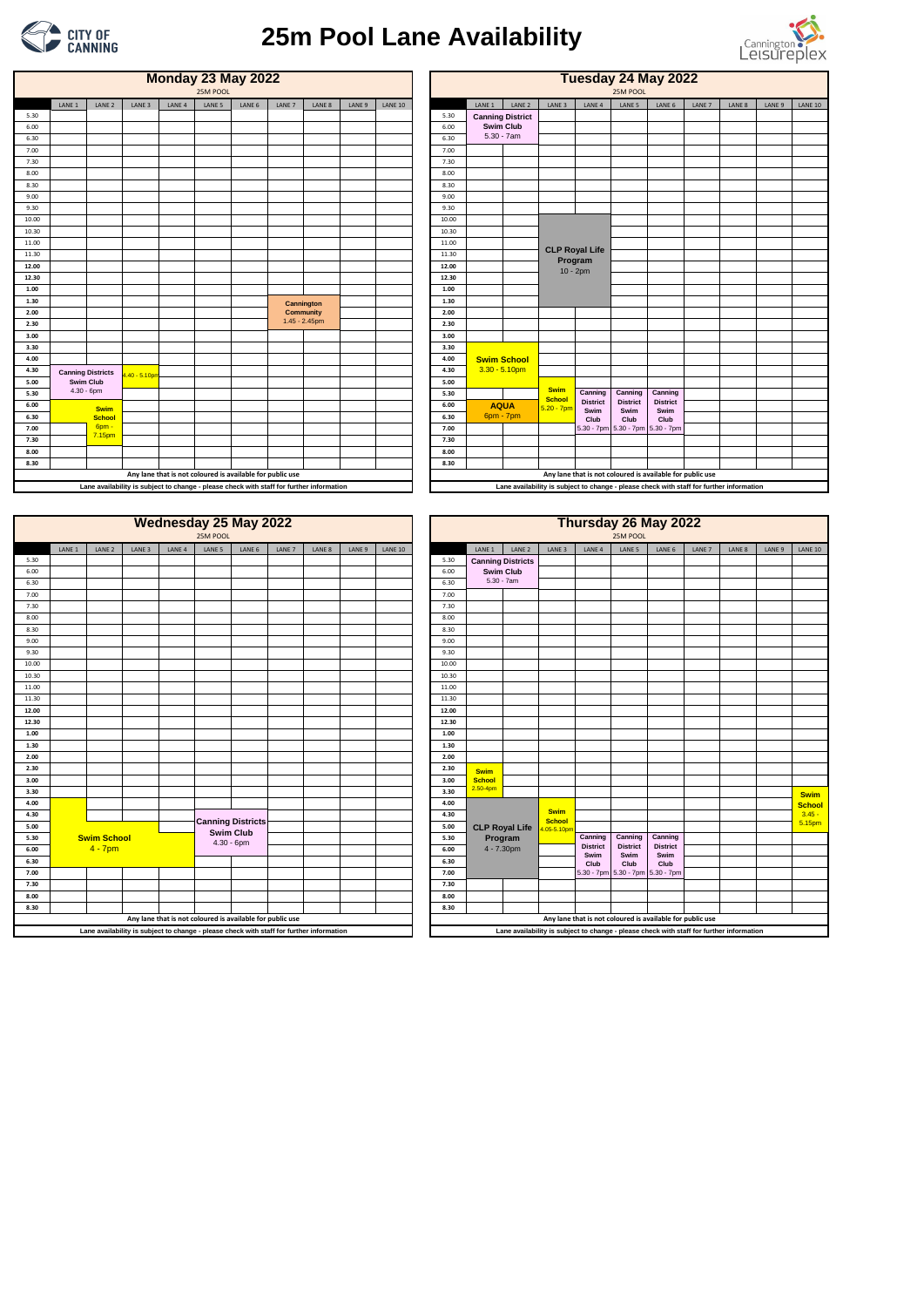|       |                   |                    |                   |                   | <b>Wednesday 25 May 2022</b><br>25M POOL                                                 |        |        |        |        |                |       |               |                          |                              | Thursday 26 May 2022                                                                     | 25M POOL                |                         |        |        |        |                |
|-------|-------------------|--------------------|-------------------|-------------------|------------------------------------------------------------------------------------------|--------|--------|--------|--------|----------------|-------|---------------|--------------------------|------------------------------|------------------------------------------------------------------------------------------|-------------------------|-------------------------|--------|--------|--------|----------------|
|       | LANE <sub>1</sub> | LANE <sub>2</sub>  | LANE <sub>3</sub> | LANE <sub>4</sub> | LANE 5                                                                                   | LANE 6 | LANE 7 | LANE 8 | LANE 9 | <b>LANE 10</b> |       | LANE 1        | LANE <sub>2</sub>        | LANE <sub>3</sub>            | LANE <sub>4</sub>                                                                        | LANE 5                  | LANE 6                  | LANE 7 | LANE 8 | LANE 9 | <b>LANE 10</b> |
| 5.30  |                   |                    |                   |                   |                                                                                          |        |        |        |        |                | 5.30  |               | <b>Canning Districts</b> |                              |                                                                                          |                         |                         |        |        |        |                |
| 6.00  |                   |                    |                   |                   |                                                                                          |        |        |        |        |                | 6.00  |               | <b>Swim Club</b>         |                              |                                                                                          |                         |                         |        |        |        |                |
| 6.30  |                   |                    |                   |                   |                                                                                          |        |        |        |        |                | 6.30  |               | $5.30 - 7am$             |                              |                                                                                          |                         |                         |        |        |        |                |
| 7.00  |                   |                    |                   |                   |                                                                                          |        |        |        |        |                | 7.00  |               |                          |                              |                                                                                          |                         |                         |        |        |        |                |
| 7.30  |                   |                    |                   |                   |                                                                                          |        |        |        |        |                | 7.30  |               |                          |                              |                                                                                          |                         |                         |        |        |        |                |
| 8.00  |                   |                    |                   |                   |                                                                                          |        |        |        |        |                | 8.00  |               |                          |                              |                                                                                          |                         |                         |        |        |        |                |
| 8.30  |                   |                    |                   |                   |                                                                                          |        |        |        |        |                | 8.30  |               |                          |                              |                                                                                          |                         |                         |        |        |        |                |
| 9.00  |                   |                    |                   |                   |                                                                                          |        |        |        |        |                | 9.00  |               |                          |                              |                                                                                          |                         |                         |        |        |        |                |
| 9.30  |                   |                    |                   |                   |                                                                                          |        |        |        |        |                | 9.30  |               |                          |                              |                                                                                          |                         |                         |        |        |        |                |
| 10.00 |                   |                    |                   |                   |                                                                                          |        |        |        |        |                | 10.00 |               |                          |                              |                                                                                          |                         |                         |        |        |        |                |
| 10.30 |                   |                    |                   |                   |                                                                                          |        |        |        |        |                | 10.30 |               |                          |                              |                                                                                          |                         |                         |        |        |        |                |
| 11.00 |                   |                    |                   |                   |                                                                                          |        |        |        |        |                | 11.00 |               |                          |                              |                                                                                          |                         |                         |        |        |        |                |
| 11.30 |                   |                    |                   |                   |                                                                                          |        |        |        |        |                | 11.30 |               |                          |                              |                                                                                          |                         |                         |        |        |        |                |
| 12.00 |                   |                    |                   |                   |                                                                                          |        |        |        |        |                | 12.00 |               |                          |                              |                                                                                          |                         |                         |        |        |        |                |
| 12.30 |                   |                    |                   |                   |                                                                                          |        |        |        |        |                | 12.30 |               |                          |                              |                                                                                          |                         |                         |        |        |        |                |
| 1.00  |                   |                    |                   |                   |                                                                                          |        |        |        |        |                | 1.00  |               |                          |                              |                                                                                          |                         |                         |        |        |        |                |
| 1.30  |                   |                    |                   |                   |                                                                                          |        |        |        |        |                | 1.30  |               |                          |                              |                                                                                          |                         |                         |        |        |        |                |
| 2.00  |                   |                    |                   |                   |                                                                                          |        |        |        |        |                | 2.00  |               |                          |                              |                                                                                          |                         |                         |        |        |        |                |
| 2.30  |                   |                    |                   |                   |                                                                                          |        |        |        |        |                | 2.30  | <b>Swim</b>   |                          |                              |                                                                                          |                         |                         |        |        |        |                |
| 3.00  |                   |                    |                   |                   |                                                                                          |        |        |        |        |                | 3.00  | <b>School</b> |                          |                              |                                                                                          |                         |                         |        |        |        |                |
| 3.30  |                   |                    |                   |                   |                                                                                          |        |        |        |        |                | 3.30  | $2.50 - 4pm$  |                          |                              |                                                                                          |                         |                         |        |        |        | <b>Swim</b>    |
| 4.00  |                   |                    |                   |                   |                                                                                          |        |        |        |        |                | 4.00  |               |                          |                              |                                                                                          |                         |                         |        |        |        | <b>School</b>  |
| 4.30  |                   |                    |                   |                   | <b>Canning Districts</b>                                                                 |        |        |        |        |                | 4.30  |               |                          | <b>Swim</b><br><b>School</b> |                                                                                          |                         |                         |        |        |        | $3.45 -$       |
| 5.00  |                   |                    |                   |                   | <b>Swim Club</b>                                                                         |        |        |        |        |                | 5.00  |               | <b>CLP Royal Life</b>    | 05-5.10pn                    |                                                                                          |                         |                         |        |        |        | 5.15pm         |
| 5.30  |                   | <b>Swim School</b> |                   |                   | $4.30 - 6$ pm                                                                            |        |        |        |        |                | 5.30  |               | Program                  |                              | Canning                                                                                  | Canning                 | Canning                 |        |        |        |                |
| 6.00  |                   | $4 - 7$ pm         |                   |                   |                                                                                          |        |        |        |        |                | 6.00  |               | 4 - 7.30pm               |                              | <b>District</b><br>Swim                                                                  | <b>District</b><br>Swim | <b>District</b><br>Swim |        |        |        |                |
| 6.30  |                   |                    |                   |                   |                                                                                          |        |        |        |        |                | 6.30  |               |                          |                              | Club                                                                                     | Club                    | Club                    |        |        |        |                |
| 7.00  |                   |                    |                   |                   |                                                                                          |        |        |        |        |                | 7.00  |               |                          |                              | 5.30 - 7pm 5.30 - 7pm 5.30 - 7pm                                                         |                         |                         |        |        |        |                |
| 7.30  |                   |                    |                   |                   |                                                                                          |        |        |        |        |                | 7.30  |               |                          |                              |                                                                                          |                         |                         |        |        |        |                |
| 8.00  |                   |                    |                   |                   |                                                                                          |        |        |        |        |                | 8.00  |               |                          |                              |                                                                                          |                         |                         |        |        |        |                |
| 8.30  |                   |                    |                   |                   |                                                                                          |        |        |        |        |                | 8.30  |               |                          |                              |                                                                                          |                         |                         |        |        |        |                |
|       |                   |                    |                   |                   | Any lane that is not coloured is available for public use                                |        |        |        |        |                |       |               |                          |                              | Any lane that is not coloured is available for public use                                |                         |                         |        |        |        |                |
|       |                   |                    |                   |                   | Lane availability is subject to change - please check with staff for further information |        |        |        |        |                |       |               |                          |                              | Lane availability is subject to change - please check with staff for further information |                         |                         |        |        |        |                |

|       |                          |                   |                                                                                          |                   | <b>Monday 23 May 2022</b><br>25M POOL                     |        |        |                  |        |                |       |        |                         |               | Tuesday 24 May 2022                                                                      | 25M POOL                         |                         |        |        |        |                |
|-------|--------------------------|-------------------|------------------------------------------------------------------------------------------|-------------------|-----------------------------------------------------------|--------|--------|------------------|--------|----------------|-------|--------|-------------------------|---------------|------------------------------------------------------------------------------------------|----------------------------------|-------------------------|--------|--------|--------|----------------|
|       | LANE 1                   | LANE <sub>2</sub> | LANE <sub>3</sub>                                                                        | LANE <sub>4</sub> | LANE 5                                                    | LANE 6 | LANE 7 | LANE 8           | LANE 9 | <b>LANE 10</b> |       | LANE 1 | LANE <sub>2</sub>       | LANE 3        | LANE 4                                                                                   | LANE 5                           | LANE 6                  | LANE 7 | LANE 8 | LANE 9 | <b>LANE 10</b> |
| 5.30  |                          |                   |                                                                                          |                   |                                                           |        |        |                  |        |                | 5.30  |        | <b>Canning District</b> |               |                                                                                          |                                  |                         |        |        |        |                |
| 6.00  |                          |                   |                                                                                          |                   |                                                           |        |        |                  |        |                | 6.00  |        | <b>Swim Club</b>        |               |                                                                                          |                                  |                         |        |        |        |                |
| 6.30  |                          |                   |                                                                                          |                   |                                                           |        |        |                  |        |                | 6.30  |        | $5.30 - 7am$            |               |                                                                                          |                                  |                         |        |        |        |                |
| 7.00  |                          |                   |                                                                                          |                   |                                                           |        |        |                  |        |                | 7.00  |        |                         |               |                                                                                          |                                  |                         |        |        |        |                |
| 7.30  |                          |                   |                                                                                          |                   |                                                           |        |        |                  |        |                | 7.30  |        |                         |               |                                                                                          |                                  |                         |        |        |        |                |
| 8.00  |                          |                   |                                                                                          |                   |                                                           |        |        |                  |        |                | 8.00  |        |                         |               |                                                                                          |                                  |                         |        |        |        |                |
| 8.30  |                          |                   |                                                                                          |                   |                                                           |        |        |                  |        |                | 8.30  |        |                         |               |                                                                                          |                                  |                         |        |        |        |                |
| 9.00  |                          |                   |                                                                                          |                   |                                                           |        |        |                  |        |                | 9.00  |        |                         |               |                                                                                          |                                  |                         |        |        |        |                |
| 9.30  |                          |                   |                                                                                          |                   |                                                           |        |        |                  |        |                | 9.30  |        |                         |               |                                                                                          |                                  |                         |        |        |        |                |
| 10.00 |                          |                   |                                                                                          |                   |                                                           |        |        |                  |        |                | 10.00 |        |                         |               |                                                                                          |                                  |                         |        |        |        |                |
| 10.30 |                          |                   |                                                                                          |                   |                                                           |        |        |                  |        |                | 10.30 |        |                         |               |                                                                                          |                                  |                         |        |        |        |                |
| 11.00 |                          |                   |                                                                                          |                   |                                                           |        |        |                  |        |                | 11.00 |        |                         |               |                                                                                          |                                  |                         |        |        |        |                |
| 11.30 |                          |                   |                                                                                          |                   |                                                           |        |        |                  |        |                | 11.30 |        |                         |               | <b>CLP Royal Life</b><br>Program                                                         |                                  |                         |        |        |        |                |
| 12.00 |                          |                   |                                                                                          |                   |                                                           |        |        |                  |        |                | 12.00 |        |                         |               | $10 - 2pm$                                                                               |                                  |                         |        |        |        |                |
| 12.30 |                          |                   |                                                                                          |                   |                                                           |        |        |                  |        |                | 12.30 |        |                         |               |                                                                                          |                                  |                         |        |        |        |                |
| 1.00  |                          |                   |                                                                                          |                   |                                                           |        |        |                  |        |                | 1.00  |        |                         |               |                                                                                          |                                  |                         |        |        |        |                |
| 1.30  |                          |                   |                                                                                          |                   |                                                           |        |        | Cannington       |        |                | 1.30  |        |                         |               |                                                                                          |                                  |                         |        |        |        |                |
| 2.00  |                          |                   |                                                                                          |                   |                                                           |        |        | <b>Community</b> |        |                | 2.00  |        |                         |               |                                                                                          |                                  |                         |        |        |        |                |
| 2.30  |                          |                   |                                                                                          |                   |                                                           |        |        | 1.45 - 2.45pm    |        |                | 2.30  |        |                         |               |                                                                                          |                                  |                         |        |        |        |                |
| 3.00  |                          |                   |                                                                                          |                   |                                                           |        |        |                  |        |                | 3.00  |        |                         |               |                                                                                          |                                  |                         |        |        |        |                |
| 3.30  |                          |                   |                                                                                          |                   |                                                           |        |        |                  |        |                | 3.30  |        |                         |               |                                                                                          |                                  |                         |        |        |        |                |
| 4.00  |                          |                   |                                                                                          |                   |                                                           |        |        |                  |        |                | 4.00  |        | <b>Swim School</b>      |               |                                                                                          |                                  |                         |        |        |        |                |
| 4.30  | <b>Canning Districts</b> |                   | .40 - 5.10pm                                                                             |                   |                                                           |        |        |                  |        |                | 4.30  |        | $3.30 - 5.10$ pm        |               |                                                                                          |                                  |                         |        |        |        |                |
| 5.00  |                          | <b>Swim Club</b>  |                                                                                          |                   |                                                           |        |        |                  |        |                | 5.00  |        |                         | <b>Swim</b>   |                                                                                          |                                  |                         |        |        |        |                |
| 5.30  |                          | $4.30 - 6$ pm     |                                                                                          |                   |                                                           |        |        |                  |        |                | 5.30  |        |                         | School        | Canning                                                                                  | Canning                          | Canning                 |        |        |        |                |
| 6.00  |                          | <b>Swim</b>       |                                                                                          |                   |                                                           |        |        |                  |        |                | 6.00  |        | <b>AQUA</b>             | $5.20 - 7$ pm | <b>District</b><br>Swim                                                                  | <b>District</b><br>Swim          | <b>District</b><br>Swim |        |        |        |                |
| 6.30  |                          | <b>School</b>     |                                                                                          |                   |                                                           |        |        |                  |        |                | 6.30  |        | 6pm - 7pm               |               | Club                                                                                     | Club                             | Club                    |        |        |        |                |
| 7.00  |                          | 6pm -<br>7.15pm   |                                                                                          |                   |                                                           |        |        |                  |        |                | 7.00  |        |                         |               |                                                                                          | 5.30 - 7pm 5.30 - 7pm 5.30 - 7pm |                         |        |        |        |                |
| 7.30  |                          |                   |                                                                                          |                   |                                                           |        |        |                  |        |                | 7.30  |        |                         |               |                                                                                          |                                  |                         |        |        |        |                |
| 8.00  |                          |                   |                                                                                          |                   |                                                           |        |        |                  |        |                | 8.00  |        |                         |               |                                                                                          |                                  |                         |        |        |        |                |
| 8.30  |                          |                   |                                                                                          |                   |                                                           |        |        |                  |        |                | 8.30  |        |                         |               |                                                                                          |                                  |                         |        |        |        |                |
|       |                          |                   |                                                                                          |                   | Any lane that is not coloured is available for public use |        |        |                  |        |                |       |        |                         |               | Any lane that is not coloured is available for public use                                |                                  |                         |        |        |        |                |
|       |                          |                   | Lane availability is subject to change - please check with staff for further information |                   |                                                           |        |        |                  |        |                |       |        |                         |               | Lane availability is subject to change - please check with staff for further information |                                  |                         |        |        |        |                |
|       |                          |                   |                                                                                          |                   |                                                           |        |        |                  |        |                |       |        |                         |               |                                                                                          |                                  |                         |        |        |        |                |

|       |                   |                    |                   | <b>Wednesday 25 May 2022</b>                                                             | 25M POOL |                                   |        |        |        |                |       |               |                          |                                  |                   | 25M POOL        | Thursday 26 May 2022                                                                     |                   |        |        |
|-------|-------------------|--------------------|-------------------|------------------------------------------------------------------------------------------|----------|-----------------------------------|--------|--------|--------|----------------|-------|---------------|--------------------------|----------------------------------|-------------------|-----------------|------------------------------------------------------------------------------------------|-------------------|--------|--------|
|       | LANE <sub>1</sub> | LANE <sub>2</sub>  | LANE <sub>3</sub> | LANE <sub>4</sub>                                                                        | LANE 5   | LANE 6                            | LANE 7 | LANE 8 | LANE 9 | <b>LANE 10</b> |       | LANE 1        | LANE <sub>2</sub>        | LANE <sub>3</sub>                | LANE <sub>4</sub> | LANE 5          | LANE 6                                                                                   | LANE <sub>7</sub> | LANE 8 | LANE 9 |
| 5.30  |                   |                    |                   |                                                                                          |          |                                   |        |        |        |                | 5.30  |               | <b>Canning Districts</b> |                                  |                   |                 |                                                                                          |                   |        |        |
| 6.00  |                   |                    |                   |                                                                                          |          |                                   |        |        |        |                | 6.00  |               | <b>Swim Club</b>         |                                  |                   |                 |                                                                                          |                   |        |        |
| 6.30  |                   |                    |                   |                                                                                          |          |                                   |        |        |        |                | 6.30  |               | $5.30 - 7am$             |                                  |                   |                 |                                                                                          |                   |        |        |
| 7.00  |                   |                    |                   |                                                                                          |          |                                   |        |        |        |                | 7.00  |               |                          |                                  |                   |                 |                                                                                          |                   |        |        |
| 7.30  |                   |                    |                   |                                                                                          |          |                                   |        |        |        |                | 7.30  |               |                          |                                  |                   |                 |                                                                                          |                   |        |        |
| 8.00  |                   |                    |                   |                                                                                          |          |                                   |        |        |        |                | 8.00  |               |                          |                                  |                   |                 |                                                                                          |                   |        |        |
| 8.30  |                   |                    |                   |                                                                                          |          |                                   |        |        |        |                | 8.30  |               |                          |                                  |                   |                 |                                                                                          |                   |        |        |
| 9.00  |                   |                    |                   |                                                                                          |          |                                   |        |        |        |                | 9.00  |               |                          |                                  |                   |                 |                                                                                          |                   |        |        |
| 9.30  |                   |                    |                   |                                                                                          |          |                                   |        |        |        |                | 9.30  |               |                          |                                  |                   |                 |                                                                                          |                   |        |        |
| 10.00 |                   |                    |                   |                                                                                          |          |                                   |        |        |        |                | 10.00 |               |                          |                                  |                   |                 |                                                                                          |                   |        |        |
| 10.30 |                   |                    |                   |                                                                                          |          |                                   |        |        |        |                | 10.30 |               |                          |                                  |                   |                 |                                                                                          |                   |        |        |
| 11.00 |                   |                    |                   |                                                                                          |          |                                   |        |        |        |                | 11.00 |               |                          |                                  |                   |                 |                                                                                          |                   |        |        |
| 11.30 |                   |                    |                   |                                                                                          |          |                                   |        |        |        |                | 11.30 |               |                          |                                  |                   |                 |                                                                                          |                   |        |        |
| 12.00 |                   |                    |                   |                                                                                          |          |                                   |        |        |        |                | 12.00 |               |                          |                                  |                   |                 |                                                                                          |                   |        |        |
| 12.30 |                   |                    |                   |                                                                                          |          |                                   |        |        |        |                | 12.30 |               |                          |                                  |                   |                 |                                                                                          |                   |        |        |
| 1.00  |                   |                    |                   |                                                                                          |          |                                   |        |        |        |                | 1.00  |               |                          |                                  |                   |                 |                                                                                          |                   |        |        |
| 1.30  |                   |                    |                   |                                                                                          |          |                                   |        |        |        |                | 1.30  |               |                          |                                  |                   |                 |                                                                                          |                   |        |        |
| 2.00  |                   |                    |                   |                                                                                          |          |                                   |        |        |        |                | 2.00  |               |                          |                                  |                   |                 |                                                                                          |                   |        |        |
| 2.30  |                   |                    |                   |                                                                                          |          |                                   |        |        |        |                | 2.30  | <b>Swim</b>   |                          |                                  |                   |                 |                                                                                          |                   |        |        |
| 3.00  |                   |                    |                   |                                                                                          |          |                                   |        |        |        |                | 3.00  | <b>School</b> |                          |                                  |                   |                 |                                                                                          |                   |        |        |
| 3.30  |                   |                    |                   |                                                                                          |          |                                   |        |        |        |                | 3.30  | $2.50 - 4pm$  |                          |                                  |                   |                 |                                                                                          |                   |        |        |
| 4.00  |                   |                    |                   |                                                                                          |          |                                   |        |        |        |                | 4.00  |               |                          |                                  |                   |                 |                                                                                          |                   |        |        |
| 4.30  |                   |                    |                   |                                                                                          |          |                                   |        |        |        |                | 4.30  |               |                          | <b>Swim</b>                      |                   |                 |                                                                                          |                   |        |        |
| 5.00  |                   |                    |                   |                                                                                          |          | <b>Canning Districts</b>          |        |        |        |                | 5.00  |               | <b>CLP Royal Life</b>    | <b>School</b><br>$.05 - 5.10$ pn |                   |                 |                                                                                          |                   |        |        |
| 5.30  |                   | <b>Swim School</b> |                   |                                                                                          |          | <b>Swim Club</b><br>$4.30 - 6$ pm |        |        |        |                | 5.30  |               | Program                  |                                  | Canning           | Canning         | Canning                                                                                  |                   |        |        |
| 6.00  |                   | $4 - 7pm$          |                   |                                                                                          |          |                                   |        |        |        |                | 6.00  |               | 4 - 7.30pm               |                                  | <b>District</b>   | <b>District</b> | <b>District</b>                                                                          |                   |        |        |
| 6.30  |                   |                    |                   |                                                                                          |          |                                   |        |        |        |                | 6.30  |               |                          |                                  | Swim<br>Club      | Swim<br>Club    | Swim<br>Club                                                                             |                   |        |        |
| 7.00  |                   |                    |                   |                                                                                          |          |                                   |        |        |        |                | 7.00  |               |                          |                                  |                   |                 | 5.30 - 7pm 5.30 - 7pm 5.30 - 7pm                                                         |                   |        |        |
| 7.30  |                   |                    |                   |                                                                                          |          |                                   |        |        |        |                | 7.30  |               |                          |                                  |                   |                 |                                                                                          |                   |        |        |
| 8.00  |                   |                    |                   |                                                                                          |          |                                   |        |        |        |                | 8.00  |               |                          |                                  |                   |                 |                                                                                          |                   |        |        |
| 8.30  |                   |                    |                   |                                                                                          |          |                                   |        |        |        |                | 8.30  |               |                          |                                  |                   |                 |                                                                                          |                   |        |        |
|       |                   |                    |                   | Any lane that is not coloured is available for public use                                |          |                                   |        |        |        |                |       |               |                          |                                  |                   |                 | Any lane that is not coloured is available for public use                                |                   |        |        |
|       |                   |                    |                   | Lane availability is subject to change - please check with staff for further information |          |                                   |        |        |        |                |       |               |                          |                                  |                   |                 | Lane availability is subject to change - please check with staff for further information |                   |        |        |
|       |                   |                    |                   |                                                                                          |          |                                   |        |        |        |                |       |               |                          |                                  |                   |                 |                                                                                          |                   |        |        |



## **25m Pool Lane Availability**